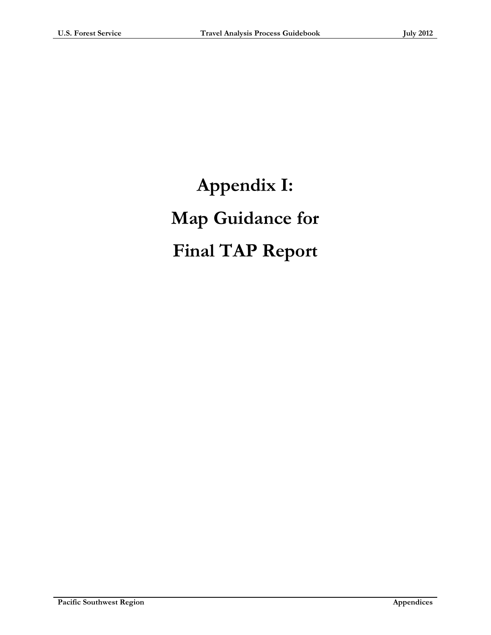# **Appendix I: Map Guidance for Final TAP Report**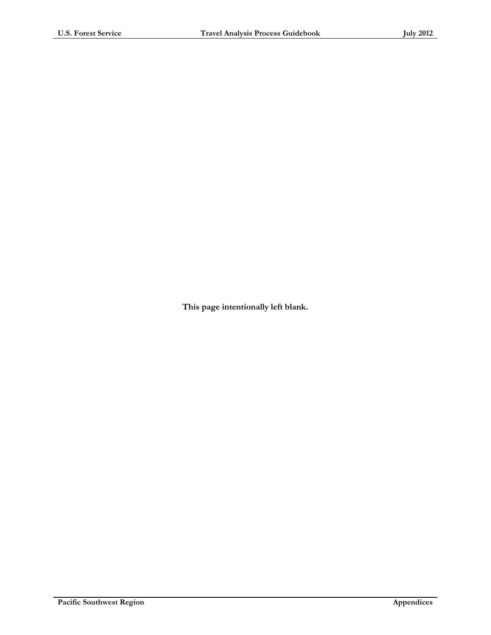**This page intentionally left blank.**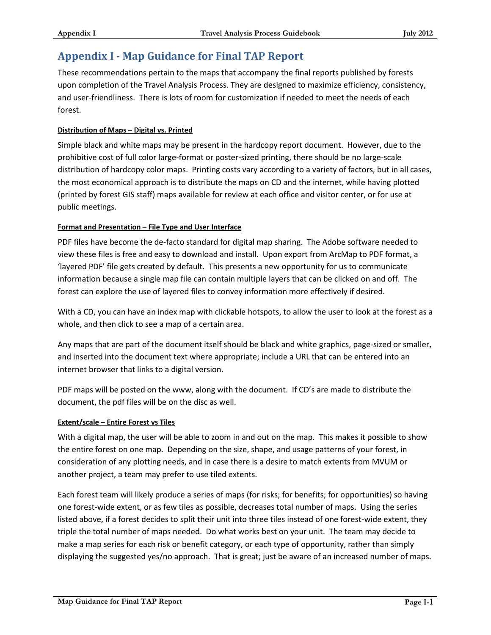# **Appendix I - Map Guidance for Final TAP Report**

These recommendations pertain to the maps that accompany the final reports published by forests upon completion of the Travel Analysis Process. They are designed to maximize efficiency, consistency, and user-friendliness. There is lots of room for customization if needed to meet the needs of each forest.

# **Distribution of Maps – Digital vs. Printed**

Simple black and white maps may be present in the hardcopy report document. However, due to the prohibitive cost of full color large-format or poster-sized printing, there should be no large-scale distribution of hardcopy color maps. Printing costs vary according to a variety of factors, but in all cases, the most economical approach is to distribute the maps on CD and the internet, while having plotted (printed by forest GIS staff) maps available for review at each office and visitor center, or for use at public meetings.

# **Format and Presentation – File Type and User Interface**

PDF files have become the de-facto standard for digital map sharing. The Adobe software needed to view these files is free and easy to download and install. Upon export from ArcMap to PDF format, a 'layered PDF' file gets created by default. This presents a new opportunity for us to communicate information because a single map file can contain multiple layers that can be clicked on and off. The forest can explore the use of layered files to convey information more effectively if desired.

With a CD, you can have an index map with clickable hotspots, to allow the user to look at the forest as a whole, and then click to see a map of a certain area.

Any maps that are part of the document itself should be black and white graphics, page-sized or smaller, and inserted into the document text where appropriate; include a URL that can be entered into an internet browser that links to a digital version.

PDF maps will be posted on the www, along with the document. If CD's are made to distribute the document, the pdf files will be on the disc as well.

#### **Extent/scale – Entire Forest vs Tiles**

With a digital map, the user will be able to zoom in and out on the map. This makes it possible to show the entire forest on one map. Depending on the size, shape, and usage patterns of your forest, in consideration of any plotting needs, and in case there is a desire to match extents from MVUM or another project, a team may prefer to use tiled extents.

Each forest team will likely produce a series of maps (for risks; for benefits; for opportunities) so having one forest-wide extent, or as few tiles as possible, decreases total number of maps. Using the series listed above, if a forest decides to split their unit into three tiles instead of one forest-wide extent, they triple the total number of maps needed. Do what works best on your unit. The team may decide to make a map series for each risk or benefit category, or each type of opportunity, rather than simply displaying the suggested yes/no approach. That is great; just be aware of an increased number of maps.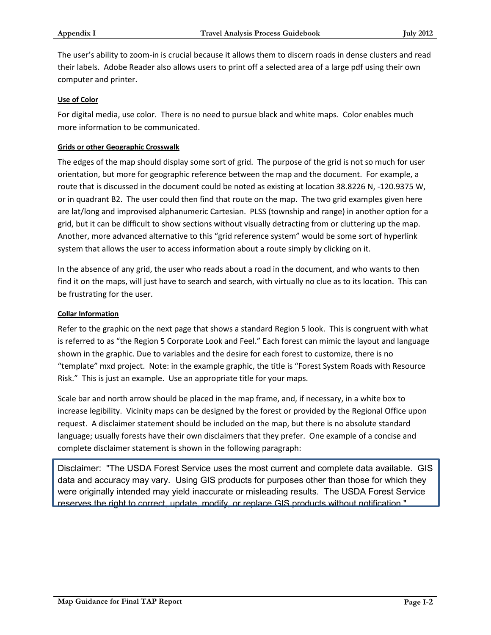The user's ability to zoom-in is crucial because it allows them to discern roads in dense clusters and read their labels. Adobe Reader also allows users to print off a selected area of a large pdf using their own computer and printer.

#### **Use of Color**

For digital media, use color. There is no need to pursue black and white maps. Color enables much more information to be communicated.

#### **Grids or other Geographic Crosswalk**

The edges of the map should display some sort of grid. The purpose of the grid is not so much for user orientation, but more for geographic reference between the map and the document. For example, a route that is discussed in the document could be noted as existing at location 38.8226 N, -120.9375 W, or in quadrant B2. The user could then find that route on the map. The two grid examples given here are lat/long and improvised alphanumeric Cartesian. PLSS (township and range) in another option for a grid, but it can be difficult to show sections without visually detracting from or cluttering up the map. Another, more advanced alternative to this "grid reference system" would be some sort of hyperlink system that allows the user to access information about a route simply by clicking on it.

In the absence of any grid, the user who reads about a road in the document, and who wants to then find it on the maps, will just have to search and search, with virtually no clue as to its location. This can be frustrating for the user.

#### **Collar Information**

Refer to the graphic on the next page that shows a standard Region 5 look. This is congruent with what is referred to as "the Region 5 Corporate Look and Feel." Each forest can mimic the layout and language shown in the graphic. Due to variables and the desire for each forest to customize, there is no "template" mxd project. Note: in the example graphic, the title is "Forest System Roads with Resource Risk." This is just an example. Use an appropriate title for your maps.

Scale bar and north arrow should be placed in the map frame, and, if necessary, in a white box to increase legibility. Vicinity maps can be designed by the forest or provided by the Regional Office upon request. A disclaimer statement should be included on the map, but there is no absolute standard language; usually forests have their own disclaimers that they prefer. One example of a concise and complete disclaimer statement is shown in the following paragraph:

Disclaimer: "The USDA Forest Service uses the most current and complete data available. GIS data and accuracy may vary. Using GIS products for purposes other than those for which they were originally intended may yield inaccurate or misleading results. The USDA Forest Service reserves the right to correct, update, modify, or replace GIS products without notification."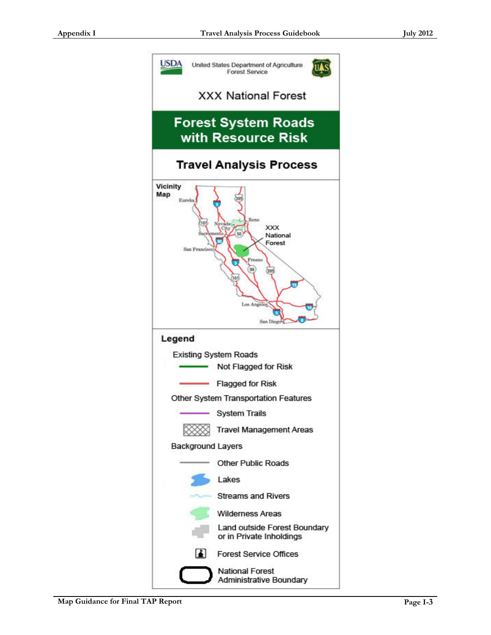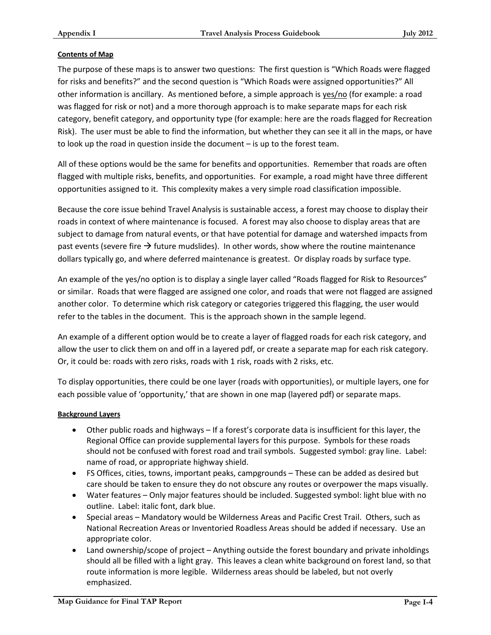### **Contents of Map**

The purpose of these maps is to answer two questions: The first question is "Which Roads were flagged for risks and benefits?" and the second question is "Which Roads were assigned opportunities?" All other information is ancillary. As mentioned before, a simple approach is yes/no (for example: a road was flagged for risk or not) and a more thorough approach is to make separate maps for each risk category, benefit category, and opportunity type (for example: here are the roads flagged for Recreation Risk). The user must be able to find the information, but whether they can see it all in the maps, or have to look up the road in question inside the document – is up to the forest team.

All of these options would be the same for benefits and opportunities. Remember that roads are often flagged with multiple risks, benefits, and opportunities. For example, a road might have three different opportunities assigned to it. This complexity makes a very simple road classification impossible.

Because the core issue behind Travel Analysis is sustainable access, a forest may choose to display their roads in context of where maintenance is focused. A forest may also choose to display areas that are subject to damage from natural events, or that have potential for damage and watershed impacts from past events (severe fire  $\rightarrow$  future mudslides). In other words, show where the routine maintenance dollars typically go, and where deferred maintenance is greatest. Or display roads by surface type.

An example of the yes/no option is to display a single layer called "Roads flagged for Risk to Resources" or similar. Roads that were flagged are assigned one color, and roads that were not flagged are assigned another color. To determine which risk category or categories triggered this flagging, the user would refer to the tables in the document. This is the approach shown in the sample legend.

An example of a different option would be to create a layer of flagged roads for each risk category, and allow the user to click them on and off in a layered pdf, or create a separate map for each risk category. Or, it could be: roads with zero risks, roads with 1 risk, roads with 2 risks, etc.

To display opportunities, there could be one layer (roads with opportunities), or multiple layers, one for each possible value of 'opportunity,' that are shown in one map (layered pdf) or separate maps.

#### **Background Layers**

- Other public roads and highways If a forest's corporate data is insufficient for this layer, the Regional Office can provide supplemental layers for this purpose. Symbols for these roads should not be confused with forest road and trail symbols. Suggested symbol: gray line. Label: name of road, or appropriate highway shield.
- FS Offices, cities, towns, important peaks, campgrounds These can be added as desired but care should be taken to ensure they do not obscure any routes or overpower the maps visually.
- Water features Only major features should be included. Suggested symbol: light blue with no outline. Label: italic font, dark blue.
- Special areas Mandatory would be Wilderness Areas and Pacific Crest Trail. Others, such as National Recreation Areas or Inventoried Roadless Areas should be added if necessary. Use an appropriate color.
- Land ownership/scope of project Anything outside the forest boundary and private inholdings should all be filled with a light gray. This leaves a clean white background on forest land, so that route information is more legible. Wilderness areas should be labeled, but not overly emphasized.